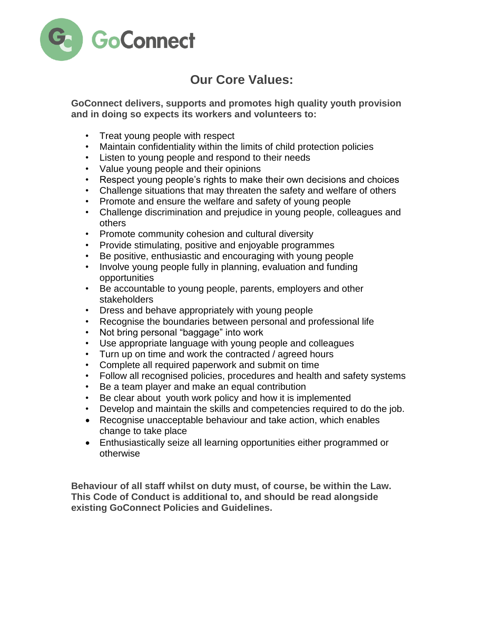

## **Our Core Values:**

**GoConnect delivers, supports and promotes high quality youth provision and in doing so expects its workers and volunteers to:**

- Treat young people with respect
- Maintain confidentiality within the limits of child protection policies
- Listen to young people and respond to their needs
- Value young people and their opinions
- Respect young people's rights to make their own decisions and choices
- Challenge situations that may threaten the safety and welfare of others
- Promote and ensure the welfare and safety of young people
- Challenge discrimination and prejudice in young people, colleagues and others
- Promote community cohesion and cultural diversity
- Provide stimulating, positive and enjoyable programmes
- Be positive, enthusiastic and encouraging with young people
- Involve young people fully in planning, evaluation and funding opportunities
- Be accountable to young people, parents, employers and other stakeholders
- Dress and behave appropriately with young people
- Recognise the boundaries between personal and professional life
- Not bring personal "baggage" into work
- Use appropriate language with young people and colleagues
- Turn up on time and work the contracted / agreed hours
- Complete all required paperwork and submit on time
- Follow all recognised policies, procedures and health and safety systems
- Be a team player and make an equal contribution
- Be clear about youth work policy and how it is implemented
- Develop and maintain the skills and competencies required to do the job.
- Recognise unacceptable behaviour and take action, which enables change to take place
- Enthusiastically seize all learning opportunities either programmed or otherwise

**Behaviour of all staff whilst on duty must, of course, be within the Law. This Code of Conduct is additional to, and should be read alongside existing GoConnect Policies and Guidelines.**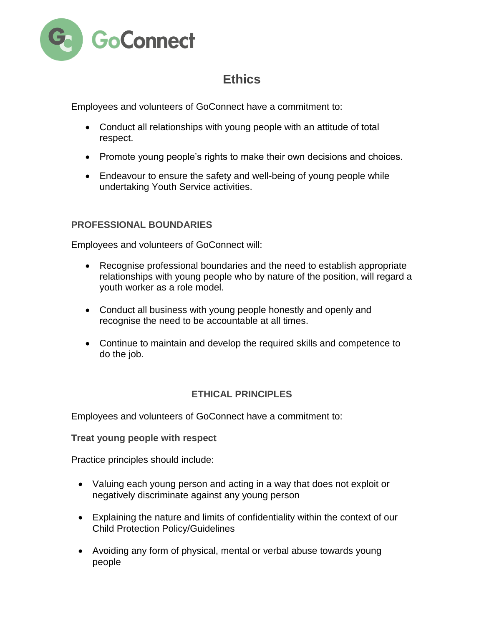

# **Ethics**

Employees and volunteers of GoConnect have a commitment to:

- Conduct all relationships with young people with an attitude of total respect.
- Promote young people's rights to make their own decisions and choices.
- Endeavour to ensure the safety and well-being of young people while undertaking Youth Service activities.

### **PROFESSIONAL BOUNDARIES**

Employees and volunteers of GoConnect will:

- Recognise professional boundaries and the need to establish appropriate relationships with young people who by nature of the position, will regard a youth worker as a role model.
- Conduct all business with young people honestly and openly and recognise the need to be accountable at all times.
- Continue to maintain and develop the required skills and competence to do the job.

### **ETHICAL PRINCIPLES**

Employees and volunteers of GoConnect have a commitment to:

**Treat young people with respect**

Practice principles should include:

- Valuing each young person and acting in a way that does not exploit or negatively discriminate against any young person
- Explaining the nature and limits of confidentiality within the context of our Child Protection Policy/Guidelines
- Avoiding any form of physical, mental or verbal abuse towards young people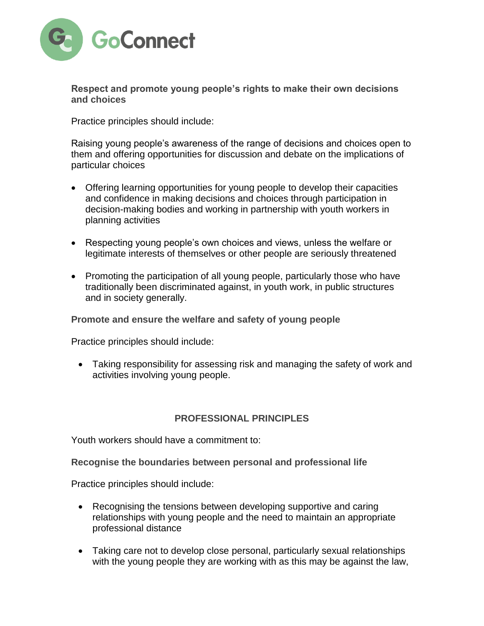

**Respect and promote young people's rights to make their own decisions and choices**

Practice principles should include:

Raising young people's awareness of the range of decisions and choices open to them and offering opportunities for discussion and debate on the implications of particular choices

- Offering learning opportunities for young people to develop their capacities and confidence in making decisions and choices through participation in decision-making bodies and working in partnership with youth workers in planning activities
- Respecting young people's own choices and views, unless the welfare or legitimate interests of themselves or other people are seriously threatened
- Promoting the participation of all young people, particularly those who have traditionally been discriminated against, in youth work, in public structures and in society generally.

**Promote and ensure the welfare and safety of young people**

Practice principles should include:

 Taking responsibility for assessing risk and managing the safety of work and activities involving young people.

#### **PROFESSIONAL PRINCIPLES**

Youth workers should have a commitment to:

**Recognise the boundaries between personal and professional life**

Practice principles should include:

- Recognising the tensions between developing supportive and caring relationships with young people and the need to maintain an appropriate professional distance
- Taking care not to develop close personal, particularly sexual relationships with the young people they are working with as this may be against the law,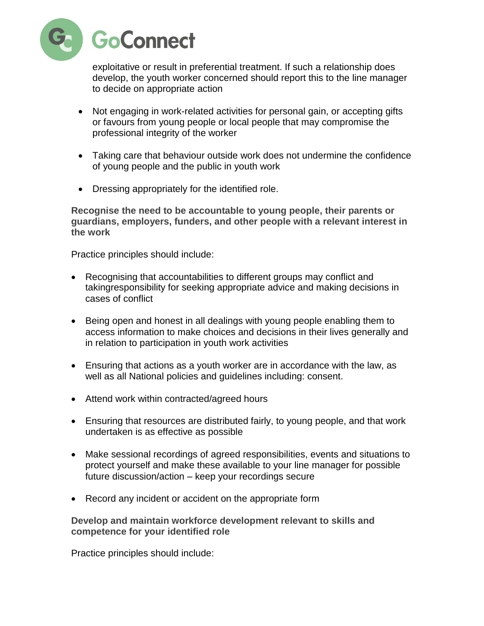

exploitative or result in preferential treatment. If such a relationship does develop, the youth worker concerned should report this to the line manager to decide on appropriate action

- Not engaging in work-related activities for personal gain, or accepting gifts or favours from young people or local people that may compromise the professional integrity of the worker
- Taking care that behaviour outside work does not undermine the confidence of young people and the public in youth work
- Dressing appropriately for the identified role.

**Recognise the need to be accountable to young people, their parents or guardians, employers, funders, and other people with a relevant interest in the work**

Practice principles should include:

- Recognising that accountabilities to different groups may conflict and takingresponsibility for seeking appropriate advice and making decisions in cases of conflict
- Being open and honest in all dealings with young people enabling them to access information to make choices and decisions in their lives generally and in relation to participation in youth work activities
- Ensuring that actions as a youth worker are in accordance with the law, as well as all National policies and guidelines including: consent.
- Attend work within contracted/agreed hours
- Ensuring that resources are distributed fairly, to young people, and that work undertaken is as effective as possible
- Make sessional recordings of agreed responsibilities, events and situations to protect yourself and make these available to your line manager for possible future discussion/action – keep your recordings secure
- Record any incident or accident on the appropriate form

**Develop and maintain workforce development relevant to skills and competence for your identified role**

Practice principles should include: